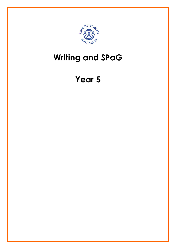

## Writing and SPaG

## Year 5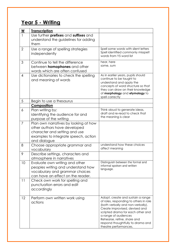## Year 5 - Writing

| W              | <b>Transcription</b>                                                                                                                                           |                                                                                                                                                                                                                                                                                                              |
|----------------|----------------------------------------------------------------------------------------------------------------------------------------------------------------|--------------------------------------------------------------------------------------------------------------------------------------------------------------------------------------------------------------------------------------------------------------------------------------------------------------|
|                | Use further prefixes and suffixes and<br>understand the guidelines for adding<br>them                                                                          |                                                                                                                                                                                                                                                                                                              |
| $\overline{2}$ | Use a range of spelling strategies<br>independently                                                                                                            | Spell some words with silent letters<br>Spell identified commonly misspelt<br>words from Y5 word list                                                                                                                                                                                                        |
| 3              | Continue to tell the difference<br>between <b>homophones</b> and other<br>words which are often confused                                                       | hear, here<br>some, sum                                                                                                                                                                                                                                                                                      |
| 4              | Use dictionaries to check the spelling<br>and meaning of words                                                                                                 | As in earlier years, pupils should<br>continue to be taught to<br>understand and apply the<br>concepts of word structure so that<br>they can draw on their knowledge<br>of morphology and etymology to<br>spell correctly                                                                                    |
| 5              | Begin to use a thesaurus                                                                                                                                       |                                                                                                                                                                                                                                                                                                              |
|                | Composition                                                                                                                                                    |                                                                                                                                                                                                                                                                                                              |
| 6              | Plan writing by:<br>identifying the audience for and<br>purpose of the writing                                                                                 | Think aloud to generate ideas,<br>draft and re-read to check that<br>the meaning is clear                                                                                                                                                                                                                    |
| $\overline{7}$ | Plan own narratives by looking at how<br>other authors have developed<br>character and setting and use<br>examples to integrate speech, action<br>and dialogue |                                                                                                                                                                                                                                                                                                              |
| 8              | Choose appropriate grammar and<br>vocabulary                                                                                                                   | understand how these choices<br>affect meaning                                                                                                                                                                                                                                                               |
| 9              | Describe settings, characters and<br>atmosphere in narratives                                                                                                  |                                                                                                                                                                                                                                                                                                              |
| 10             | Evaluate own writing and other<br>peoples writing and understand how<br>vocabulary and grammar choices<br>can have an effect on the reader.                    | Distinguish between the formal and<br>informal spoken and written<br>language.                                                                                                                                                                                                                               |
| 11             | Check own work for spelling and<br>punctuation errors and edit<br>accordingly                                                                                  |                                                                                                                                                                                                                                                                                                              |
| 12             | Perform own written work using<br>actions                                                                                                                      | Adopt, create and sustain a range<br>of roles, responding to others in role<br>(both verbally and non-verbally).<br>Create improvised, devised and<br>scripted drama for each other and<br>a range of audiences<br>Rehearse, refine, share and<br>respond thoughtfully to drama and<br>theatre performances. |